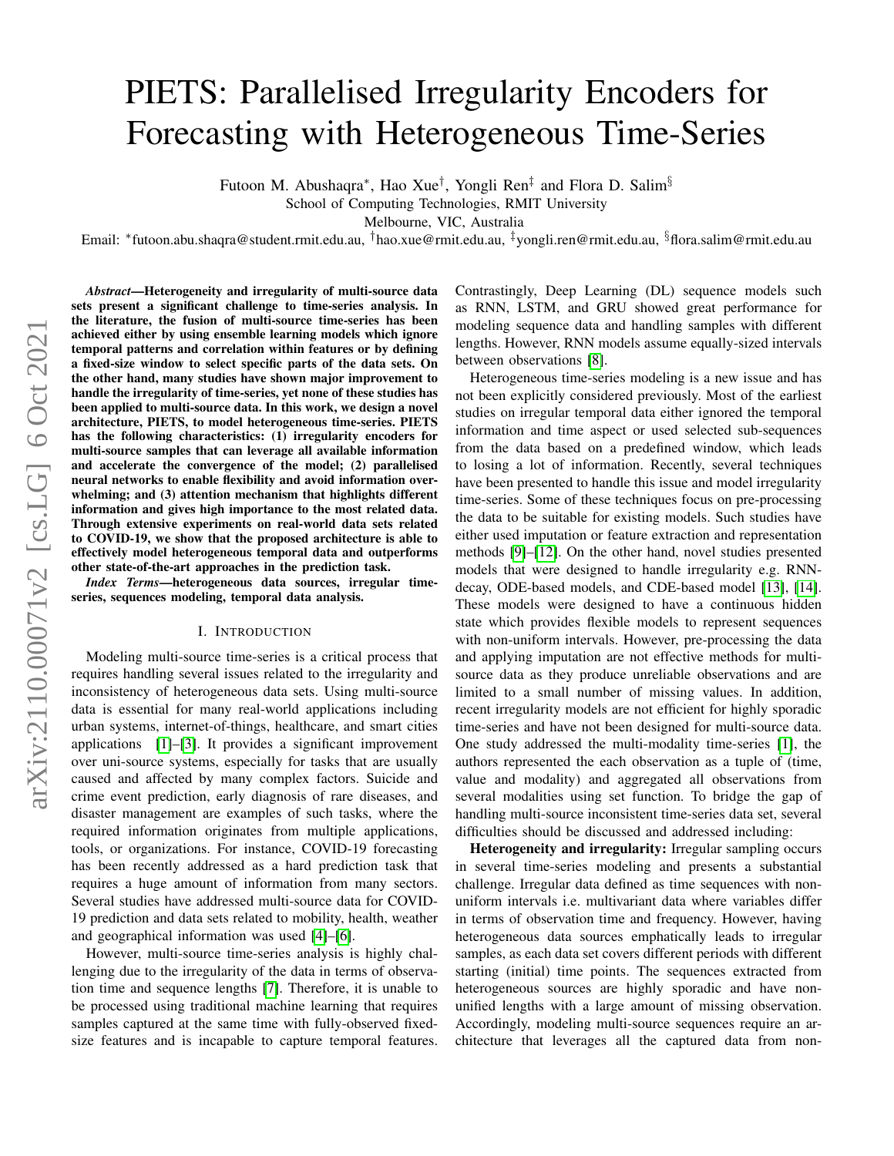# arXiv:2110.00071v2 [cs.LG] 6 Oct 2021 arXiv:2110.00071v2 [cs.LG] 6 Oct 2021

# PIETS: Parallelised Irregularity Encoders for Forecasting with Heterogeneous Time-Series

Futoon M. Abushaqra\*, Hao Xue<sup>†</sup>, Yongli Ren<sup>‡</sup> and Flora D. Salim<sup>§</sup>

School of Computing Technologies, RMIT University

Melbourne, VIC, Australia

Email: <sup>∗</sup> futoon.abu.shaqra@student.rmit.edu.au, †hao.xue@rmit.edu.au, ‡yongli.ren@rmit.edu.au, §flora.salim@rmit.edu.au

*Abstract*—Heterogeneity and irregularity of multi-source data sets present a significant challenge to time-series analysis. In the literature, the fusion of multi-source time-series has been achieved either by using ensemble learning models which ignore temporal patterns and correlation within features or by defining a fixed-size window to select specific parts of the data sets. On the other hand, many studies have shown major improvement to handle the irregularity of time-series, yet none of these studies has been applied to multi-source data. In this work, we design a novel architecture, PIETS, to model heterogeneous time-series. PIETS has the following characteristics: (1) irregularity encoders for multi-source samples that can leverage all available information and accelerate the convergence of the model; (2) parallelised neural networks to enable flexibility and avoid information overwhelming; and (3) attention mechanism that highlights different information and gives high importance to the most related data. Through extensive experiments on real-world data sets related to COVID-19, we show that the proposed architecture is able to effectively model heterogeneous temporal data and outperforms other state-of-the-art approaches in the prediction task.

*Index Terms*—heterogeneous data sources, irregular timeseries, sequences modeling, temporal data analysis.

### I. INTRODUCTION

Modeling multi-source time-series is a critical process that requires handling several issues related to the irregularity and inconsistency of heterogeneous data sets. Using multi-source data is essential for many real-world applications including urban systems, internet-of-things, healthcare, and smart cities applications [\[1\]](#page-9-0)–[\[3\]](#page-9-1). It provides a significant improvement over uni-source systems, especially for tasks that are usually caused and affected by many complex factors. Suicide and crime event prediction, early diagnosis of rare diseases, and disaster management are examples of such tasks, where the required information originates from multiple applications, tools, or organizations. For instance, COVID-19 forecasting has been recently addressed as a hard prediction task that requires a huge amount of information from many sectors. Several studies have addressed multi-source data for COVID-19 prediction and data sets related to mobility, health, weather and geographical information was used [\[4\]](#page-9-2)–[\[6\]](#page-9-3).

However, multi-source time-series analysis is highly challenging due to the irregularity of the data in terms of observation time and sequence lengths [\[7\]](#page-9-4). Therefore, it is unable to be processed using traditional machine learning that requires samples captured at the same time with fully-observed fixedsize features and is incapable to capture temporal features. Contrastingly, Deep Learning (DL) sequence models such as RNN, LSTM, and GRU showed great performance for modeling sequence data and handling samples with different lengths. However, RNN models assume equally-sized intervals between observations [\[8\]](#page-9-5).

Heterogeneous time-series modeling is a new issue and has not been explicitly considered previously. Most of the earliest studies on irregular temporal data either ignored the temporal information and time aspect or used selected sub-sequences from the data based on a predefined window, which leads to losing a lot of information. Recently, several techniques have been presented to handle this issue and model irregularity time-series. Some of these techniques focus on pre-processing the data to be suitable for existing models. Such studies have either used imputation or feature extraction and representation methods [\[9\]](#page-9-6)–[\[12\]](#page-9-7). On the other hand, novel studies presented models that were designed to handle irregularity e.g. RNNdecay, ODE-based models, and CDE-based model [\[13\]](#page-9-8), [\[14\]](#page-9-9). These models were designed to have a continuous hidden state which provides flexible models to represent sequences with non-uniform intervals. However, pre-processing the data and applying imputation are not effective methods for multisource data as they produce unreliable observations and are limited to a small number of missing values. In addition, recent irregularity models are not efficient for highly sporadic time-series and have not been designed for multi-source data. One study addressed the multi-modality time-series [\[1\]](#page-9-0), the authors represented the each observation as a tuple of (time, value and modality) and aggregated all observations from several modalities using set function. To bridge the gap of handling multi-source inconsistent time-series data set, several difficulties should be discussed and addressed including:

Heterogeneity and irregularity: Irregular sampling occurs in several time-series modeling and presents a substantial challenge. Irregular data defined as time sequences with nonuniform intervals i.e. multivariant data where variables differ in terms of observation time and frequency. However, having heterogeneous data sources emphatically leads to irregular samples, as each data set covers different periods with different starting (initial) time points. The sequences extracted from heterogeneous sources are highly sporadic and have nonunified lengths with a large amount of missing observation. Accordingly, modeling multi-source sequences require an architecture that leverages all the captured data from non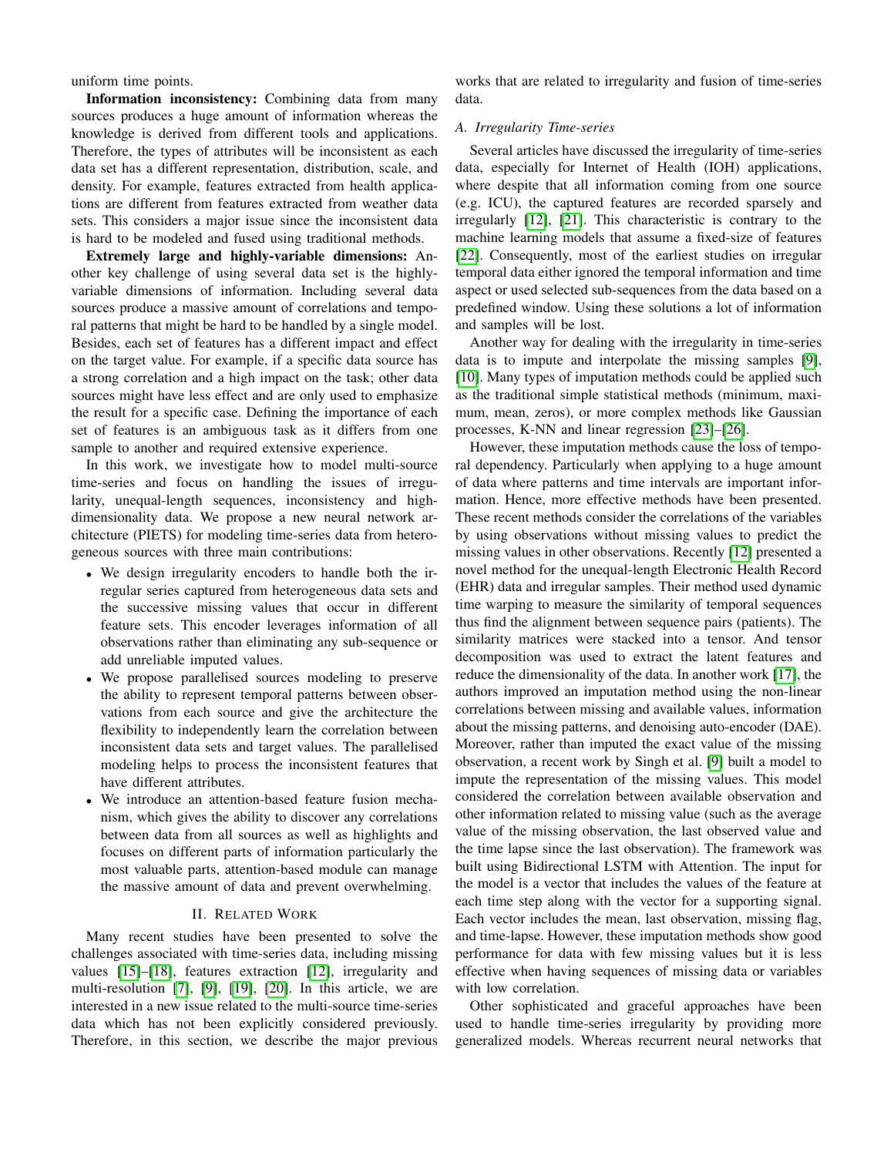uniform time points.

Information inconsistency: Combining data from many sources produces a huge amount of information whereas the knowledge is derived from different tools and applications. Therefore, the types of attributes will be inconsistent as each data set has a different representation, distribution, scale, and density. For example, features extracted from health applications are different from features extracted from weather data sets. This considers a major issue since the inconsistent data is hard to be modeled and fused using traditional methods.

Extremely large and highly-variable dimensions: Another key challenge of using several data set is the highlyvariable dimensions of information. Including several data sources produce a massive amount of correlations and temporal patterns that might be hard to be handled by a single model. Besides, each set of features has a different impact and effect on the target value. For example, if a specific data source has a strong correlation and a high impact on the task; other data sources might have less effect and are only used to emphasize the result for a specific case. Defining the importance of each set of features is an ambiguous task as it differs from one sample to another and required extensive experience.

In this work, we investigate how to model multi-source time-series and focus on handling the issues of irregularity, unequal-length sequences, inconsistency and highdimensionality data. We propose a new neural network architecture (PIETS) for modeling time-series data from heterogeneous sources with three main contributions:

- We design irregularity encoders to handle both the irregular series captured from heterogeneous data sets and the successive missing values that occur in different feature sets. This encoder leverages information of all observations rather than eliminating any sub-sequence or add unreliable imputed values.
- We propose parallelised sources modeling to preserve the ability to represent temporal patterns between observations from each source and give the architecture the flexibility to independently learn the correlation between inconsistent data sets and target values. The parallelised modeling helps to process the inconsistent features that have different attributes.
- We introduce an attention-based feature fusion mechanism, which gives the ability to discover any correlations between data from all sources as well as highlights and focuses on different parts of information particularly the most valuable parts, attention-based module can manage the massive amount of data and prevent overwhelming.

# II. RELATED WORK

Many recent studies have been presented to solve the challenges associated with time-series data, including missing values [\[15\]](#page-9-10)–[\[18\]](#page-9-11), features extraction [\[12\]](#page-9-7), irregularity and multi-resolution [\[7\]](#page-9-4), [\[9\]](#page-9-6), [\[19\]](#page-9-12), [\[20\]](#page-9-13). In this article, we are interested in a new issue related to the multi-source time-series data which has not been explicitly considered previously. Therefore, in this section, we describe the major previous

works that are related to irregularity and fusion of time-series data.

# *A. Irregularity Time-series*

Several articles have discussed the irregularity of time-series data, especially for Internet of Health (IOH) applications, where despite that all information coming from one source (e.g. ICU), the captured features are recorded sparsely and irregularly [\[12\]](#page-9-7), [\[21\]](#page-9-14). This characteristic is contrary to the machine learning models that assume a fixed-size of features [\[22\]](#page-9-15). Consequently, most of the earliest studies on irregular temporal data either ignored the temporal information and time aspect or used selected sub-sequences from the data based on a predefined window. Using these solutions a lot of information and samples will be lost.

Another way for dealing with the irregularity in time-series data is to impute and interpolate the missing samples [\[9\]](#page-9-6), [\[10\]](#page-9-16). Many types of imputation methods could be applied such as the traditional simple statistical methods (minimum, maximum, mean, zeros), or more complex methods like Gaussian processes, K-NN and linear regression [\[23\]](#page-9-17)–[\[26\]](#page-9-18).

However, these imputation methods cause the loss of temporal dependency. Particularly when applying to a huge amount of data where patterns and time intervals are important information. Hence, more effective methods have been presented. These recent methods consider the correlations of the variables by using observations without missing values to predict the missing values in other observations. Recently [\[12\]](#page-9-7) presented a novel method for the unequal-length Electronic Health Record (EHR) data and irregular samples. Their method used dynamic time warping to measure the similarity of temporal sequences thus find the alignment between sequence pairs (patients). The similarity matrices were stacked into a tensor. And tensor decomposition was used to extract the latent features and reduce the dimensionality of the data. In another work [\[17\]](#page-9-19), the authors improved an imputation method using the non-linear correlations between missing and available values, information about the missing patterns, and denoising auto-encoder (DAE). Moreover, rather than imputed the exact value of the missing observation, a recent work by Singh et al. [\[9\]](#page-9-6) built a model to impute the representation of the missing values. This model considered the correlation between available observation and other information related to missing value (such as the average value of the missing observation, the last observed value and the time lapse since the last observation). The framework was built using Bidirectional LSTM with Attention. The input for the model is a vector that includes the values of the feature at each time step along with the vector for a supporting signal. Each vector includes the mean, last observation, missing flag, and time-lapse. However, these imputation methods show good performance for data with few missing values but it is less effective when having sequences of missing data or variables with low correlation.

Other sophisticated and graceful approaches have been used to handle time-series irregularity by providing more generalized models. Whereas recurrent neural networks that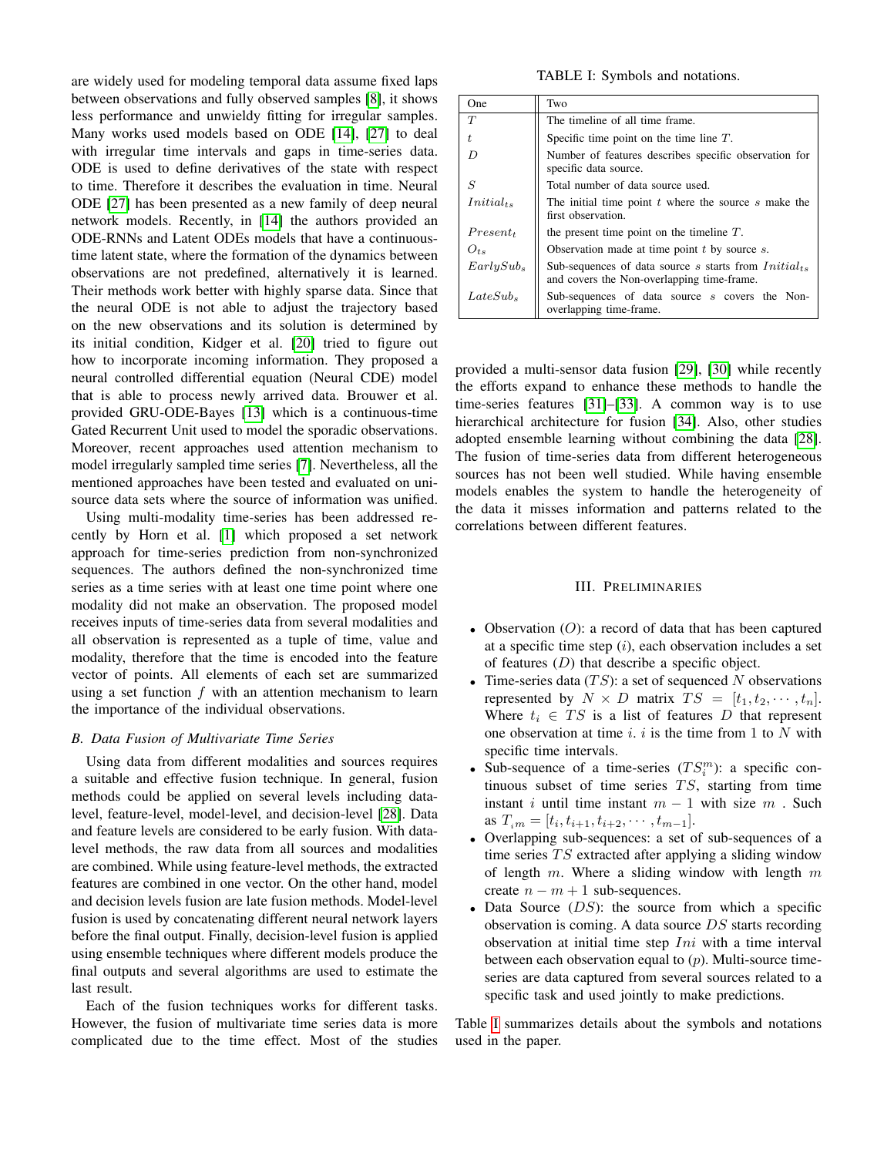are widely used for modeling temporal data assume fixed laps between observations and fully observed samples [\[8\]](#page-9-5), it shows less performance and unwieldy fitting for irregular samples. Many works used models based on ODE [\[14\]](#page-9-9), [\[27\]](#page-9-20) to deal with irregular time intervals and gaps in time-series data. ODE is used to define derivatives of the state with respect to time. Therefore it describes the evaluation in time. Neural ODE [\[27\]](#page-9-20) has been presented as a new family of deep neural network models. Recently, in [\[14\]](#page-9-9) the authors provided an ODE-RNNs and Latent ODEs models that have a continuoustime latent state, where the formation of the dynamics between observations are not predefined, alternatively it is learned. Their methods work better with highly sparse data. Since that the neural ODE is not able to adjust the trajectory based on the new observations and its solution is determined by its initial condition, Kidger et al. [\[20\]](#page-9-13) tried to figure out how to incorporate incoming information. They proposed a neural controlled differential equation (Neural CDE) model that is able to process newly arrived data. Brouwer et al. provided GRU-ODE-Bayes [\[13\]](#page-9-8) which is a continuous-time Gated Recurrent Unit used to model the sporadic observations. Moreover, recent approaches used attention mechanism to model irregularly sampled time series [\[7\]](#page-9-4). Nevertheless, all the mentioned approaches have been tested and evaluated on unisource data sets where the source of information was unified.

Using multi-modality time-series has been addressed recently by Horn et al. [\[1\]](#page-9-0) which proposed a set network approach for time-series prediction from non-synchronized sequences. The authors defined the non-synchronized time series as a time series with at least one time point where one modality did not make an observation. The proposed model receives inputs of time-series data from several modalities and all observation is represented as a tuple of time, value and modality, therefore that the time is encoded into the feature vector of points. All elements of each set are summarized using a set function  $f$  with an attention mechanism to learn the importance of the individual observations.

### *B. Data Fusion of Multivariate Time Series*

Using data from different modalities and sources requires a suitable and effective fusion technique. In general, fusion methods could be applied on several levels including datalevel, feature-level, model-level, and decision-level [\[28\]](#page-9-21). Data and feature levels are considered to be early fusion. With datalevel methods, the raw data from all sources and modalities are combined. While using feature-level methods, the extracted features are combined in one vector. On the other hand, model and decision levels fusion are late fusion methods. Model-level fusion is used by concatenating different neural network layers before the final output. Finally, decision-level fusion is applied using ensemble techniques where different models produce the final outputs and several algorithms are used to estimate the last result.

Each of the fusion techniques works for different tasks. However, the fusion of multivariate time series data is more complicated due to the time effect. Most of the studies

### TABLE I: Symbols and notations.

<span id="page-2-0"></span>

| One                   | Two                                                                                                     |
|-----------------------|---------------------------------------------------------------------------------------------------------|
| T                     | The timeline of all time frame.                                                                         |
| t.                    | Specific time point on the time line $T$ .                                                              |
| D                     | Number of features describes specific observation for<br>specific data source.                          |
| S                     | Total number of data source used.                                                                       |
| $Initial_{ts}$        | The initial time point $t$ where the source $s$ make the<br>first observation.                          |
| Present <sub>t</sub>  | the present time point on the timeline $T$ .                                                            |
| $O_{ts}$              | Observation made at time point $t$ by source $s$ .                                                      |
| EarlySub <sub>s</sub> | Sub-sequences of data source s starts from $Initial_{ts}$<br>and covers the Non-overlapping time-frame. |
| $LateSub_s$           | Sub-sequences of data source s covers the Non-<br>overlapping time-frame.                               |

provided a multi-sensor data fusion [\[29\]](#page-9-22), [\[30\]](#page-9-23) while recently the efforts expand to enhance these methods to handle the time-series features [\[31\]](#page-9-24)–[\[33\]](#page-9-25). A common way is to use hierarchical architecture for fusion [\[34\]](#page-9-26). Also, other studies adopted ensemble learning without combining the data [\[28\]](#page-9-21). The fusion of time-series data from different heterogeneous sources has not been well studied. While having ensemble models enables the system to handle the heterogeneity of the data it misses information and patterns related to the correlations between different features.

# III. PRELIMINARIES

- Observation  $(O)$ : a record of data that has been captured at a specific time step  $(i)$ , each observation includes a set of features  $(D)$  that describe a specific object.
- Time-series data  $(TS)$ : a set of sequenced N observations represented by  $N \times D$  matrix  $TS = [t_1, t_2, \dots, t_n].$ Where  $t_i \in TS$  is a list of features D that represent one observation at time  $i$ .  $i$  is the time from 1 to  $N$  with specific time intervals.
- Sub-sequence of a time-series  $(TS_i^m)$ : a specific continuous subset of time series  $TS$ , starting from time instant i until time instant  $m - 1$  with size m . Such as  $T_{i m} = [t_i, t_{i+1}, t_{i+2}, \cdots, t_{m-1}].$
- Overlapping sub-sequences: a set of sub-sequences of a time series  $TS$  extracted after applying a sliding window of length  $m$ . Where a sliding window with length  $m$ create  $n - m + 1$  sub-sequences.
- Data Source  $(DS)$ : the source from which a specific observation is coming. A data source DS starts recording observation at initial time step  $Ini$  with a time interval between each observation equal to  $(p)$ . Multi-source timeseries are data captured from several sources related to a specific task and used jointly to make predictions.

Table [I](#page-2-0) summarizes details about the symbols and notations used in the paper.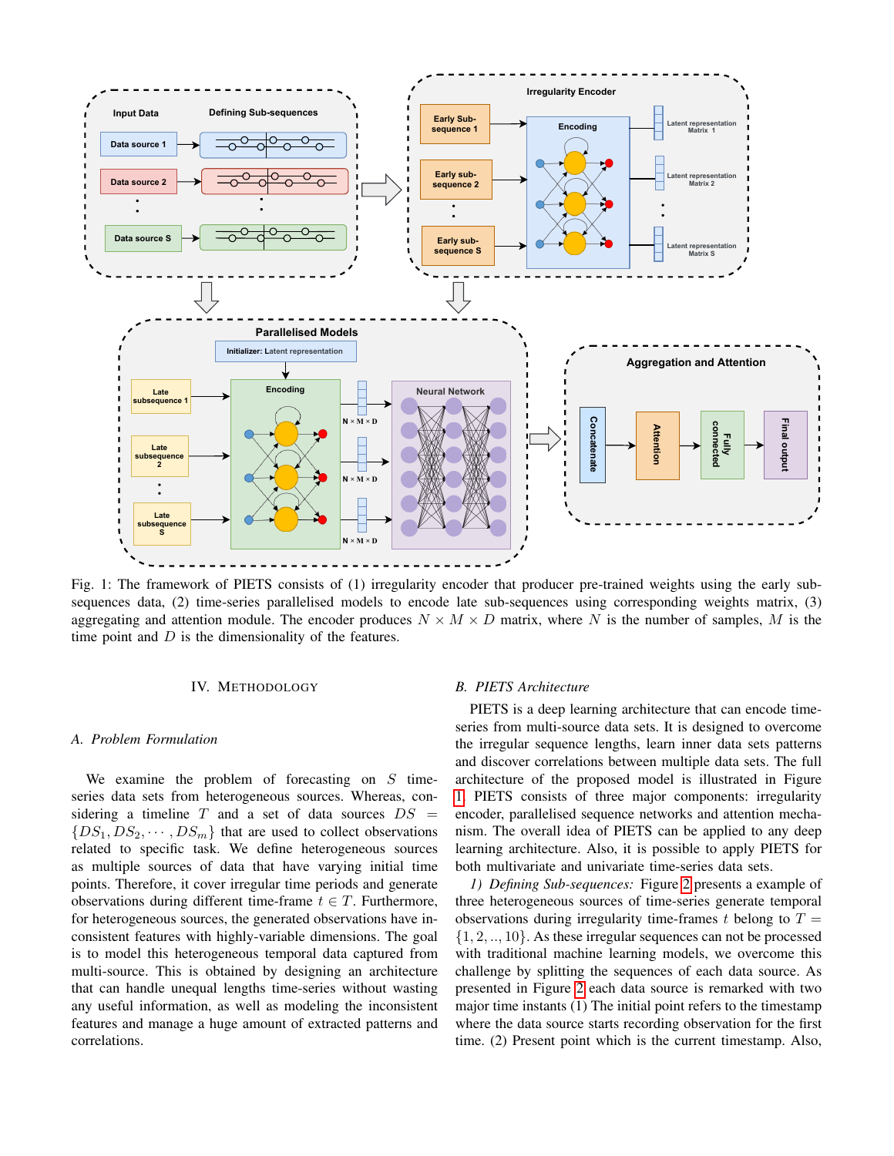<span id="page-3-0"></span>

Fig. 1: The framework of PIETS consists of (1) irregularity encoder that producer pre-trained weights using the early subsequences data, (2) time-series parallelised models to encode late sub-sequences using corresponding weights matrix, (3) aggregating and attention module. The encoder produces  $N \times M \times D$  matrix, where N is the number of samples, M is the time point and  $D$  is the dimensionality of the features.

### IV. METHODOLOGY

### *A. Problem Formulation*

We examine the problem of forecasting on  $S$  timeseries data sets from heterogeneous sources. Whereas, considering a timeline  $T$  and a set of data sources  $DS =$  $\{DS_1, DS_2, \cdots, DS_m\}$  that are used to collect observations related to specific task. We define heterogeneous sources as multiple sources of data that have varying initial time points. Therefore, it cover irregular time periods and generate observations during different time-frame  $t \in T$ . Furthermore, for heterogeneous sources, the generated observations have inconsistent features with highly-variable dimensions. The goal is to model this heterogeneous temporal data captured from multi-source. This is obtained by designing an architecture that can handle unequal lengths time-series without wasting any useful information, as well as modeling the inconsistent features and manage a huge amount of extracted patterns and correlations.

## *B. PIETS Architecture*

PIETS is a deep learning architecture that can encode timeseries from multi-source data sets. It is designed to overcome the irregular sequence lengths, learn inner data sets patterns and discover correlations between multiple data sets. The full architecture of the proposed model is illustrated in Figure [1.](#page-3-0) PIETS consists of three major components: irregularity encoder, parallelised sequence networks and attention mechanism. The overall idea of PIETS can be applied to any deep learning architecture. Also, it is possible to apply PIETS for both multivariate and univariate time-series data sets.

*1) Defining Sub-sequences:* Figure [2](#page-4-0) presents a example of three heterogeneous sources of time-series generate temporal observations during irregularity time-frames t belong to  $T =$  $\{1, 2, \ldots, 10\}$ . As these irregular sequences can not be processed with traditional machine learning models, we overcome this challenge by splitting the sequences of each data source. As presented in Figure [2](#page-4-0) each data source is remarked with two major time instants (1) The initial point refers to the timestamp where the data source starts recording observation for the first time. (2) Present point which is the current timestamp. Also,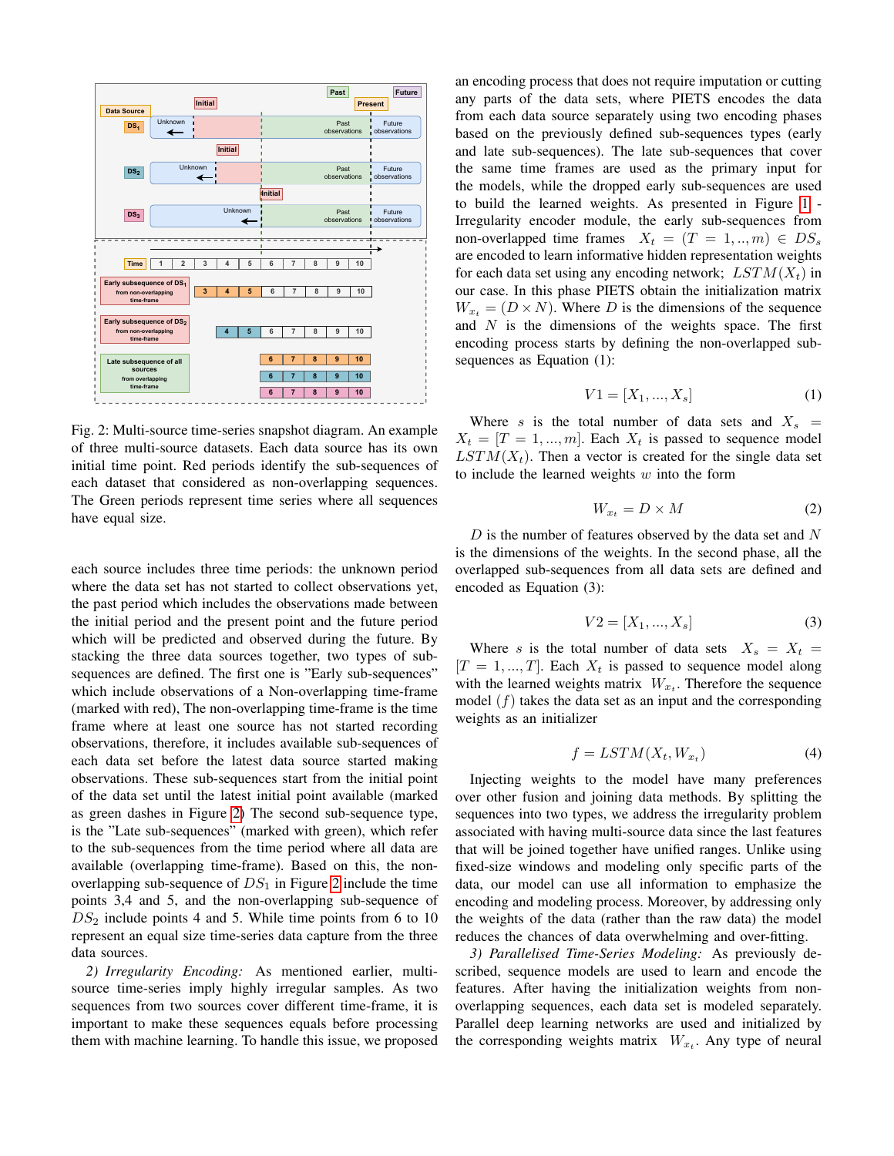<span id="page-4-0"></span>

Fig. 2: Multi-source time-series snapshot diagram. An example of three multi-source datasets. Each data source has its own initial time point. Red periods identify the sub-sequences of each dataset that considered as non-overlapping sequences. The Green periods represent time series where all sequences have equal size.

each source includes three time periods: the unknown period where the data set has not started to collect observations yet, the past period which includes the observations made between the initial period and the present point and the future period which will be predicted and observed during the future. By stacking the three data sources together, two types of subsequences are defined. The first one is "Early sub-sequences" which include observations of a Non-overlapping time-frame (marked with red), The non-overlapping time-frame is the time frame where at least one source has not started recording observations, therefore, it includes available sub-sequences of each data set before the latest data source started making observations. These sub-sequences start from the initial point of the data set until the latest initial point available (marked as green dashes in Figure [2\)](#page-4-0) The second sub-sequence type, is the "Late sub-sequences" (marked with green), which refer to the sub-sequences from the time period where all data are available (overlapping time-frame). Based on this, the nonoverlapping sub-sequence of  $DS_1$  in Figure [2](#page-4-0) include the time points 3,4 and 5, and the non-overlapping sub-sequence of  $DS<sub>2</sub>$  include points 4 and 5. While time points from 6 to 10 represent an equal size time-series data capture from the three data sources.

*2) Irregularity Encoding:* As mentioned earlier, multisource time-series imply highly irregular samples. As two sequences from two sources cover different time-frame, it is important to make these sequences equals before processing them with machine learning. To handle this issue, we proposed an encoding process that does not require imputation or cutting any parts of the data sets, where PIETS encodes the data from each data source separately using two encoding phases based on the previously defined sub-sequences types (early and late sub-sequences). The late sub-sequences that cover the same time frames are used as the primary input for the models, while the dropped early sub-sequences are used to build the learned weights. As presented in Figure [1](#page-3-0) - Irregularity encoder module, the early sub-sequences from non-overlapped time frames  $X_t = (T = 1, ..., m) \in DS_s$ are encoded to learn informative hidden representation weights for each data set using any encoding network;  $LSTM(X_t)$  in our case. In this phase PIETS obtain the initialization matrix  $W_{x_t} = (D \times N)$ . Where D is the dimensions of the sequence and  $N$  is the dimensions of the weights space. The first encoding process starts by defining the non-overlapped subsequences as Equation (1):

$$
V1 = [X_1, ..., X_s]
$$
 (1)

Where s is the total number of data sets and  $X_s$  =  $X_t = [T = 1, ..., m]$ . Each  $X_t$  is passed to sequence model  $LSTM(X<sub>t</sub>)$ . Then a vector is created for the single data set to include the learned weights  $w$  into the form

$$
W_{x_t} = D \times M \tag{2}
$$

D is the number of features observed by the data set and  $N$ is the dimensions of the weights. In the second phase, all the overlapped sub-sequences from all data sets are defined and encoded as Equation (3):

$$
V2 = [X_1, ..., X_s]
$$
 (3)

Where s is the total number of data sets  $X_s = X_t =$  $[T = 1, ..., T]$ . Each  $X_t$  is passed to sequence model along with the learned weights matrix  $W_{x_t}$ . Therefore the sequence model  $(f)$  takes the data set as an input and the corresponding weights as an initializer

$$
f = LSTM(X_t, W_{x_t})
$$
\n<sup>(4)</sup>

Injecting weights to the model have many preferences over other fusion and joining data methods. By splitting the sequences into two types, we address the irregularity problem associated with having multi-source data since the last features that will be joined together have unified ranges. Unlike using fixed-size windows and modeling only specific parts of the data, our model can use all information to emphasize the encoding and modeling process. Moreover, by addressing only the weights of the data (rather than the raw data) the model reduces the chances of data overwhelming and over-fitting.

*3) Parallelised Time-Series Modeling:* As previously described, sequence models are used to learn and encode the features. After having the initialization weights from nonoverlapping sequences, each data set is modeled separately. Parallel deep learning networks are used and initialized by the corresponding weights matrix  $W_{x_t}$ . Any type of neural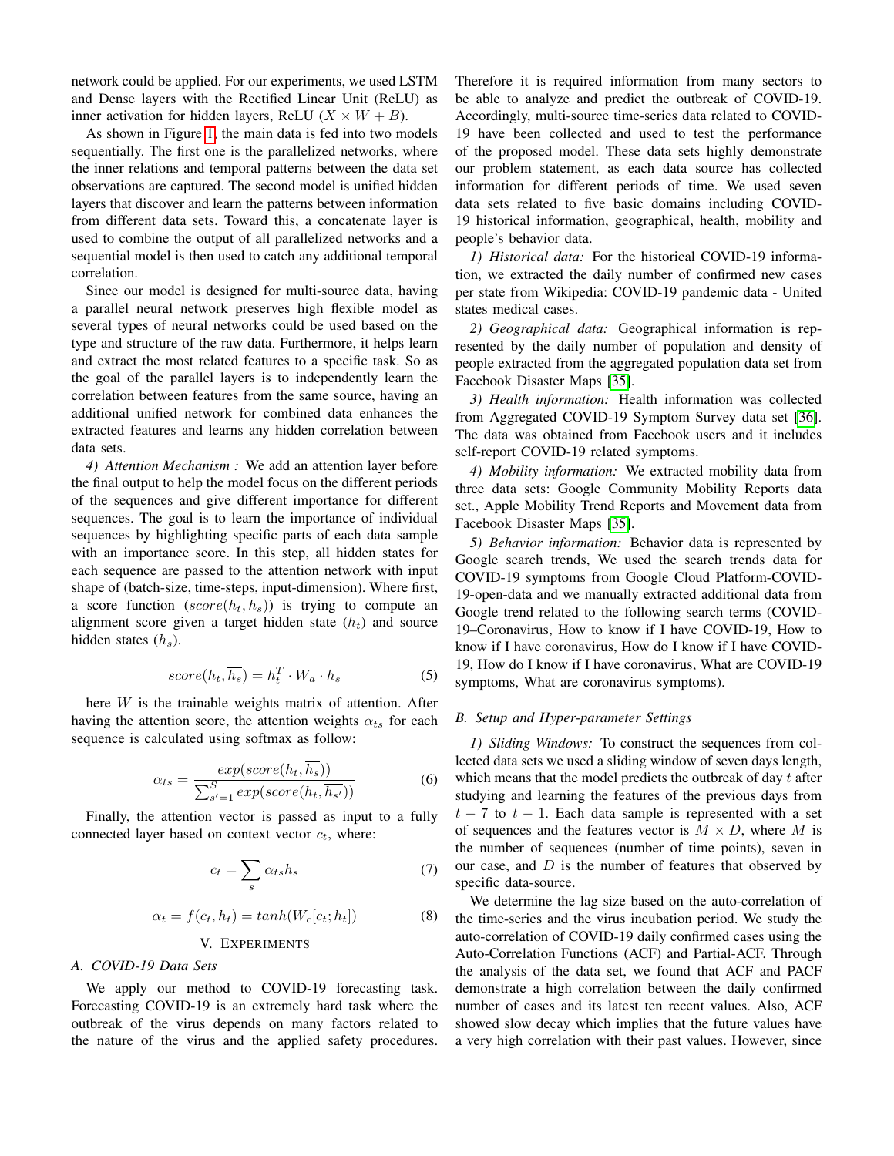network could be applied. For our experiments, we used LSTM and Dense layers with the Rectified Linear Unit (ReLU) as inner activation for hidden layers, ReLU  $(X \times W + B)$ .

As shown in Figure [1,](#page-3-0) the main data is fed into two models sequentially. The first one is the parallelized networks, where the inner relations and temporal patterns between the data set observations are captured. The second model is unified hidden layers that discover and learn the patterns between information from different data sets. Toward this, a concatenate layer is used to combine the output of all parallelized networks and a sequential model is then used to catch any additional temporal correlation.

Since our model is designed for multi-source data, having a parallel neural network preserves high flexible model as several types of neural networks could be used based on the type and structure of the raw data. Furthermore, it helps learn and extract the most related features to a specific task. So as the goal of the parallel layers is to independently learn the correlation between features from the same source, having an additional unified network for combined data enhances the extracted features and learns any hidden correlation between data sets.

*4) Attention Mechanism :* We add an attention layer before the final output to help the model focus on the different periods of the sequences and give different importance for different sequences. The goal is to learn the importance of individual sequences by highlighting specific parts of each data sample with an importance score. In this step, all hidden states for each sequence are passed to the attention network with input shape of (batch-size, time-steps, input-dimension). Where first, a score function  $(score(h_t, h_s))$  is trying to compute an alignment score given a target hidden state  $(h_t)$  and source hidden states  $(h_s)$ .

$$
score(h_t, \overline{h_s}) = h_t^T \cdot W_a \cdot h_s \tag{5}
$$

here  $W$  is the trainable weights matrix of attention. After having the attention score, the attention weights  $\alpha_{ts}$  for each sequence is calculated using softmax as follow:

$$
\alpha_{ts} = \frac{exp(score(h_t, \overline{h_s}))}{\sum_{s'=1}^{S} exp(score(h_t, \overline{h_{s'}}))}
$$
(6)

Finally, the attention vector is passed as input to a fully connected layer based on context vector  $c_t$ , where:

$$
c_t = \sum_s \alpha_{ts} \overline{h_s} \tag{7}
$$

$$
\alpha_t = f(c_t, h_t) = \tanh(W_c[c_t; h_t]) \tag{8}
$$

### V. EXPERIMENTS

### *A. COVID-19 Data Sets*

We apply our method to COVID-19 forecasting task. Forecasting COVID-19 is an extremely hard task where the outbreak of the virus depends on many factors related to the nature of the virus and the applied safety procedures.

Therefore it is required information from many sectors to be able to analyze and predict the outbreak of COVID-19. Accordingly, multi-source time-series data related to COVID-19 have been collected and used to test the performance of the proposed model. These data sets highly demonstrate our problem statement, as each data source has collected information for different periods of time. We used seven data sets related to five basic domains including COVID-19 historical information, geographical, health, mobility and people's behavior data.

*1) Historical data:* For the historical COVID-19 information, we extracted the daily number of confirmed new cases per state from Wikipedia: COVID-19 pandemic data - United states medical cases.

*2) Geographical data:* Geographical information is represented by the daily number of population and density of people extracted from the aggregated population data set from Facebook Disaster Maps [\[35\]](#page-9-27).

*3) Health information:* Health information was collected from Aggregated COVID-19 Symptom Survey data set [\[36\]](#page-10-0). The data was obtained from Facebook users and it includes self-report COVID-19 related symptoms.

*4) Mobility information:* We extracted mobility data from three data sets: Google Community Mobility Reports data set., Apple Mobility Trend Reports and Movement data from Facebook Disaster Maps [\[35\]](#page-9-27).

*5) Behavior information:* Behavior data is represented by Google search trends, We used the search trends data for COVID-19 symptoms from Google Cloud Platform-COVID-19-open-data and we manually extracted additional data from Google trend related to the following search terms (COVID-19–Coronavirus, How to know if I have COVID-19, How to know if I have coronavirus, How do I know if I have COVID-19, How do I know if I have coronavirus, What are COVID-19 symptoms, What are coronavirus symptoms).

### *B. Setup and Hyper-parameter Settings*

*1) Sliding Windows:* To construct the sequences from collected data sets we used a sliding window of seven days length, which means that the model predicts the outbreak of day  $t$  after studying and learning the features of the previous days from  $t - 7$  to  $t - 1$ . Each data sample is represented with a set of sequences and the features vector is  $M \times D$ , where M is the number of sequences (number of time points), seven in our case, and  $D$  is the number of features that observed by specific data-source.

We determine the lag size based on the auto-correlation of the time-series and the virus incubation period. We study the auto-correlation of COVID-19 daily confirmed cases using the Auto-Correlation Functions (ACF) and Partial-ACF. Through the analysis of the data set, we found that ACF and PACF demonstrate a high correlation between the daily confirmed number of cases and its latest ten recent values. Also, ACF showed slow decay which implies that the future values have a very high correlation with their past values. However, since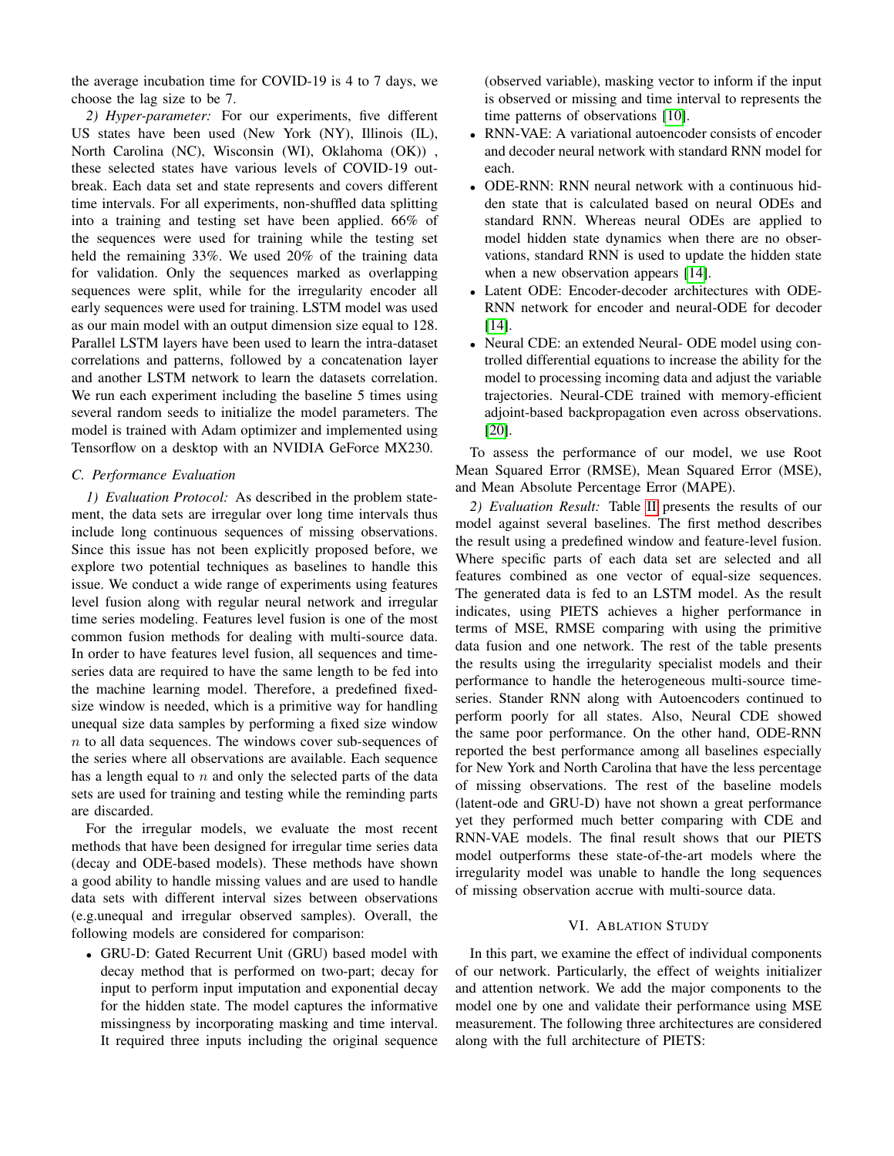the average incubation time for COVID-19 is 4 to 7 days, we choose the lag size to be 7.

*2) Hyper-parameter:* For our experiments, five different US states have been used (New York (NY), Illinois (IL), North Carolina (NC), Wisconsin (WI), Oklahoma (OK)) , these selected states have various levels of COVID-19 outbreak. Each data set and state represents and covers different time intervals. For all experiments, non-shuffled data splitting into a training and testing set have been applied. 66% of the sequences were used for training while the testing set held the remaining 33%. We used 20% of the training data for validation. Only the sequences marked as overlapping sequences were split, while for the irregularity encoder all early sequences were used for training. LSTM model was used as our main model with an output dimension size equal to 128. Parallel LSTM layers have been used to learn the intra-dataset correlations and patterns, followed by a concatenation layer and another LSTM network to learn the datasets correlation. We run each experiment including the baseline 5 times using several random seeds to initialize the model parameters. The model is trained with Adam optimizer and implemented using Tensorflow on a desktop with an NVIDIA GeForce MX230.

## *C. Performance Evaluation*

*1) Evaluation Protocol:* As described in the problem statement, the data sets are irregular over long time intervals thus include long continuous sequences of missing observations. Since this issue has not been explicitly proposed before, we explore two potential techniques as baselines to handle this issue. We conduct a wide range of experiments using features level fusion along with regular neural network and irregular time series modeling. Features level fusion is one of the most common fusion methods for dealing with multi-source data. In order to have features level fusion, all sequences and timeseries data are required to have the same length to be fed into the machine learning model. Therefore, a predefined fixedsize window is needed, which is a primitive way for handling unequal size data samples by performing a fixed size window  $n$  to all data sequences. The windows cover sub-sequences of the series where all observations are available. Each sequence has a length equal to  $n$  and only the selected parts of the data sets are used for training and testing while the reminding parts are discarded.

For the irregular models, we evaluate the most recent methods that have been designed for irregular time series data (decay and ODE-based models). These methods have shown a good ability to handle missing values and are used to handle data sets with different interval sizes between observations (e.g.unequal and irregular observed samples). Overall, the following models are considered for comparison:

• GRU-D: Gated Recurrent Unit (GRU) based model with decay method that is performed on two-part; decay for input to perform input imputation and exponential decay for the hidden state. The model captures the informative missingness by incorporating masking and time interval. It required three inputs including the original sequence (observed variable), masking vector to inform if the input is observed or missing and time interval to represents the time patterns of observations [\[10\]](#page-9-16).

- RNN-VAE: A variational autoencoder consists of encoder and decoder neural network with standard RNN model for each.
- ODE-RNN: RNN neural network with a continuous hidden state that is calculated based on neural ODEs and standard RNN. Whereas neural ODEs are applied to model hidden state dynamics when there are no observations, standard RNN is used to update the hidden state when a new observation appears [\[14\]](#page-9-9).
- Latent ODE: Encoder-decoder architectures with ODE-RNN network for encoder and neural-ODE for decoder [\[14\]](#page-9-9).
- Neural CDE: an extended Neural-ODE model using controlled differential equations to increase the ability for the model to processing incoming data and adjust the variable trajectories. Neural-CDE trained with memory-efficient adjoint-based backpropagation even across observations. [\[20\]](#page-9-13).

To assess the performance of our model, we use Root Mean Squared Error (RMSE), Mean Squared Error (MSE), and Mean Absolute Percentage Error (MAPE).

*2) Evaluation Result:* Table [II](#page-7-0) presents the results of our model against several baselines. The first method describes the result using a predefined window and feature-level fusion. Where specific parts of each data set are selected and all features combined as one vector of equal-size sequences. The generated data is fed to an LSTM model. As the result indicates, using PIETS achieves a higher performance in terms of MSE, RMSE comparing with using the primitive data fusion and one network. The rest of the table presents the results using the irregularity specialist models and their performance to handle the heterogeneous multi-source timeseries. Stander RNN along with Autoencoders continued to perform poorly for all states. Also, Neural CDE showed the same poor performance. On the other hand, ODE-RNN reported the best performance among all baselines especially for New York and North Carolina that have the less percentage of missing observations. The rest of the baseline models (latent-ode and GRU-D) have not shown a great performance yet they performed much better comparing with CDE and RNN-VAE models. The final result shows that our PIETS model outperforms these state-of-the-art models where the irregularity model was unable to handle the long sequences of missing observation accrue with multi-source data.

### VI. ABLATION STUDY

In this part, we examine the effect of individual components of our network. Particularly, the effect of weights initializer and attention network. We add the major components to the model one by one and validate their performance using MSE measurement. The following three architectures are considered along with the full architecture of PIETS: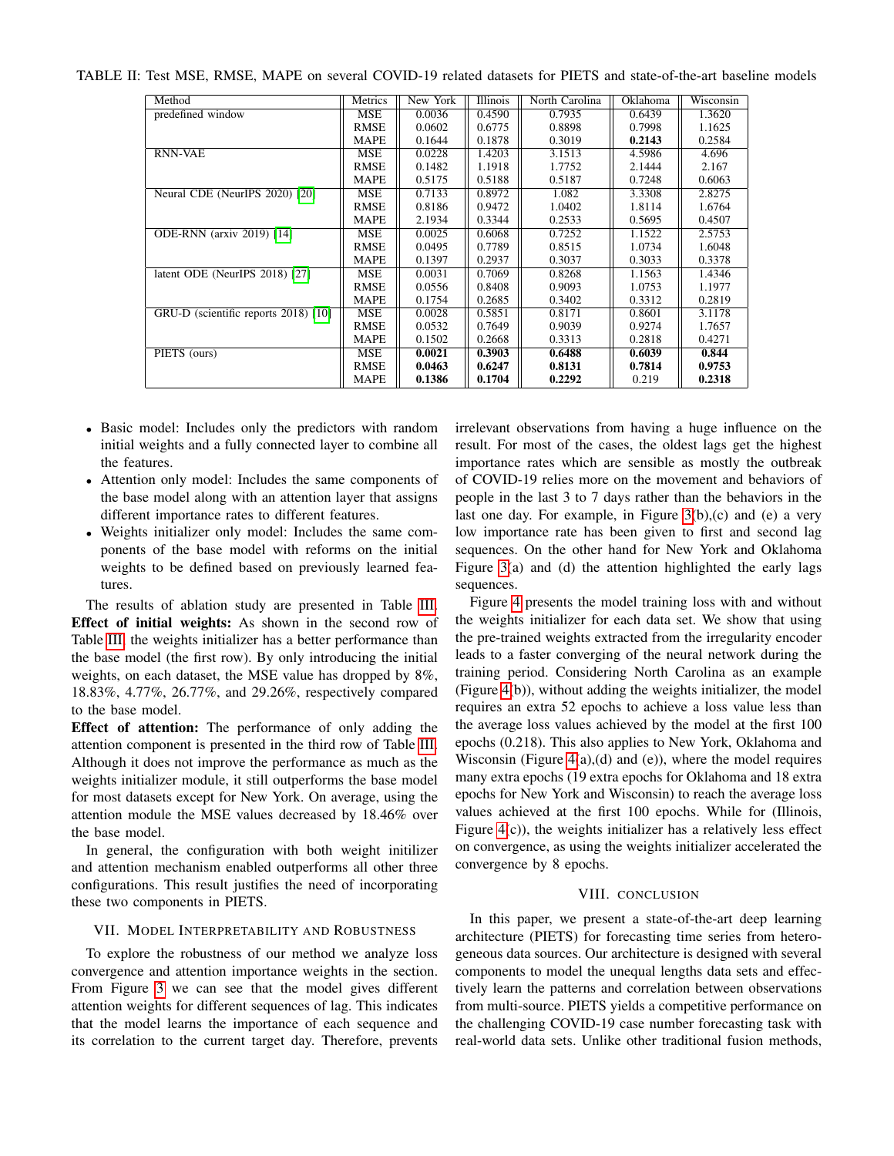<span id="page-7-0"></span>

|  |  | TABLE II: Test MSE, RMSE, MAPE on several COVID-19 related datasets for PIETS and state-of-the-art baseline models |  |  |  |
|--|--|--------------------------------------------------------------------------------------------------------------------|--|--|--|
|--|--|--------------------------------------------------------------------------------------------------------------------|--|--|--|

| Method                               | Metrics     | New York | <b>Illinois</b> | North Carolina | Oklahoma | Wisconsin |
|--------------------------------------|-------------|----------|-----------------|----------------|----------|-----------|
| predefined window                    | MSE         | 0.0036   | 0.4590          | 0.7935         | 0.6439   | 1.3620    |
|                                      | <b>RMSE</b> | 0.0602   | 0.6775          | 0.8898         | 0.7998   | 1.1625    |
|                                      | <b>MAPE</b> | 0.1644   | 0.1878          | 0.3019         | 0.2143   | 0.2584    |
| <b>RNN-VAE</b>                       | MSE         | 0.0228   | 1.4203          | 3.1513         | 4.5986   | 4.696     |
|                                      | <b>RMSE</b> | 0.1482   | 1.1918          | 1.7752         | 2.1444   | 2.167     |
|                                      | <b>MAPE</b> | 0.5175   | 0.5188          | 0.5187         | 0.7248   | 0.6063    |
| Neural CDE (NeurIPS 2020) [20]       | MSE         | 0.7133   | 0.8972          | 1.082          | 3.3308   | 2.8275    |
|                                      | <b>RMSE</b> | 0.8186   | 0.9472          | 1.0402         | 1.8114   | 1.6764    |
|                                      | <b>MAPE</b> | 2.1934   | 0.3344          | 0.2533         | 0.5695   | 0.4507    |
| <b>ODE-RNN</b> (arxiv 2019) [14]     | <b>MSE</b>  | 0.0025   | 0.6068          | 0.7252         | 1.1522   | 2.5753    |
|                                      | <b>RMSE</b> | 0.0495   | 0.7789          | 0.8515         | 1.0734   | 1.6048    |
|                                      | <b>MAPE</b> | 0.1397   | 0.2937          | 0.3037         | 0.3033   | 0.3378    |
| latent ODE (NeurIPS 2018) [27]       | MSE         | 0.0031   | 0.7069          | 0.8268         | 1.1563   | 1.4346    |
|                                      | <b>RMSE</b> | 0.0556   | 0.8408          | 0.9093         | 1.0753   | 1.1977    |
|                                      | <b>MAPE</b> | 0.1754   | 0.2685          | 0.3402         | 0.3312   | 0.2819    |
| GRU-D (scientific reports 2018) [10] | MSE         | 0.0028   | 0.5851          | 0.8171         | 0.8601   | 3.1178    |
|                                      | <b>RMSE</b> | 0.0532   | 0.7649          | 0.9039         | 0.9274   | 1.7657    |
|                                      | <b>MAPE</b> | 0.1502   | 0.2668          | 0.3313         | 0.2818   | 0.4271    |
| PIETS (ours)                         | MSE         | 0.0021   | 0.3903          | 0.6488         | 0.6039   | 0.844     |
|                                      | <b>RMSE</b> | 0.0463   | 0.6247          | 0.8131         | 0.7814   | 0.9753    |
|                                      | <b>MAPE</b> | 0.1386   | 0.1704          | 0.2292         | 0.219    | 0.2318    |

- Basic model: Includes only the predictors with random initial weights and a fully connected layer to combine all the features.
- Attention only model: Includes the same components of the base model along with an attention layer that assigns different importance rates to different features.
- Weights initializer only model: Includes the same components of the base model with reforms on the initial weights to be defined based on previously learned features.

The results of ablation study are presented in Table [III.](#page-8-0) Effect of initial weights: As shown in the second row of Table [III,](#page-8-0) the weights initializer has a better performance than the base model (the first row). By only introducing the initial weights, on each dataset, the MSE value has dropped by 8%, 18.83%, 4.77%, 26.77%, and 29.26%, respectively compared to the base model.

Effect of attention: The performance of only adding the attention component is presented in the third row of Table [III.](#page-8-0) Although it does not improve the performance as much as the weights initializer module, it still outperforms the base model for most datasets except for New York. On average, using the attention module the MSE values decreased by 18.46% over the base model.

In general, the configuration with both weight initilizer and attention mechanism enabled outperforms all other three configurations. This result justifies the need of incorporating these two components in PIETS.

### VII. MODEL INTERPRETABILITY AND ROBUSTNESS

To explore the robustness of our method we analyze loss convergence and attention importance weights in the section. From Figure [3](#page-8-1) we can see that the model gives different attention weights for different sequences of lag. This indicates that the model learns the importance of each sequence and its correlation to the current target day. Therefore, prevents irrelevant observations from having a huge influence on the result. For most of the cases, the oldest lags get the highest importance rates which are sensible as mostly the outbreak of COVID-19 relies more on the movement and behaviors of people in the last 3 to 7 days rather than the behaviors in the last one day. For example, in Figure  $3(b)$ , (c) and (e) a very low importance rate has been given to first and second lag sequences. On the other hand for New York and Oklahoma Figure [3\(](#page-8-1)a) and (d) the attention highlighted the early lags sequences.

Figure [4](#page-8-2) presents the model training loss with and without the weights initializer for each data set. We show that using the pre-trained weights extracted from the irregularity encoder leads to a faster converging of the neural network during the training period. Considering North Carolina as an example (Figure [4\(](#page-8-2)b)), without adding the weights initializer, the model requires an extra 52 epochs to achieve a loss value less than the average loss values achieved by the model at the first 100 epochs (0.218). This also applies to New York, Oklahoma and Wisconsin (Figure [4\(](#page-8-2)a),(d) and (e)), where the model requires many extra epochs (19 extra epochs for Oklahoma and 18 extra epochs for New York and Wisconsin) to reach the average loss values achieved at the first 100 epochs. While for (Illinois, Figure  $4(c)$ ), the weights initializer has a relatively less effect on convergence, as using the weights initializer accelerated the convergence by 8 epochs.

### VIII. CONCLUSION

In this paper, we present a state-of-the-art deep learning architecture (PIETS) for forecasting time series from heterogeneous data sources. Our architecture is designed with several components to model the unequal lengths data sets and effectively learn the patterns and correlation between observations from multi-source. PIETS yields a competitive performance on the challenging COVID-19 case number forecasting task with real-world data sets. Unlike other traditional fusion methods,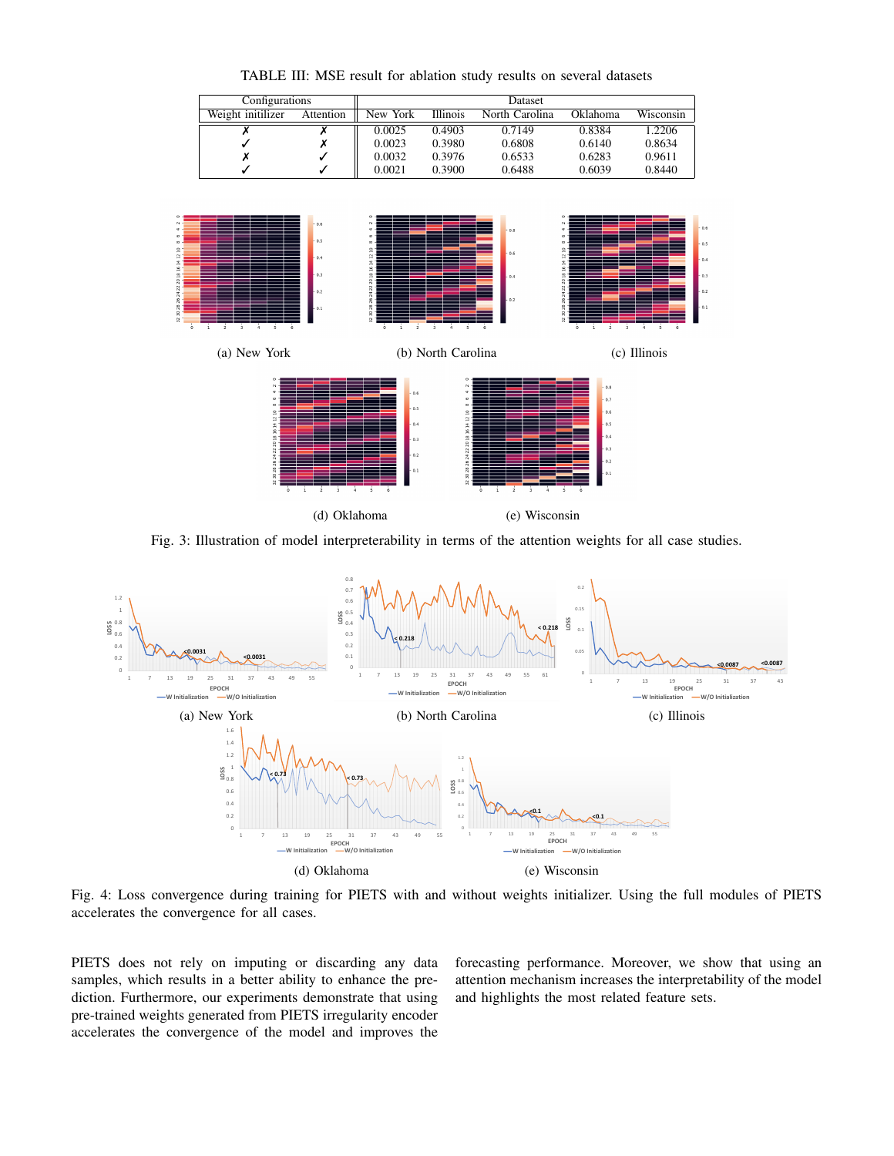<span id="page-8-1"></span><span id="page-8-0"></span>

TABLE III: MSE result for ablation study results on several datasets

Fig. 3: Illustration of model interpreterability in terms of the attention weights for all case studies.

<span id="page-8-2"></span>

Fig. 4: Loss convergence during training for PIETS with and without weights initializer. Using the full modules of PIETS accelerates the convergence for all cases.

PIETS does not rely on imputing or discarding any data samples, which results in a better ability to enhance the prediction. Furthermore, our experiments demonstrate that using pre-trained weights generated from PIETS irregularity encoder accelerates the convergence of the model and improves the

forecasting performance. Moreover, we show that using an attention mechanism increases the interpretability of the model and highlights the most related feature sets.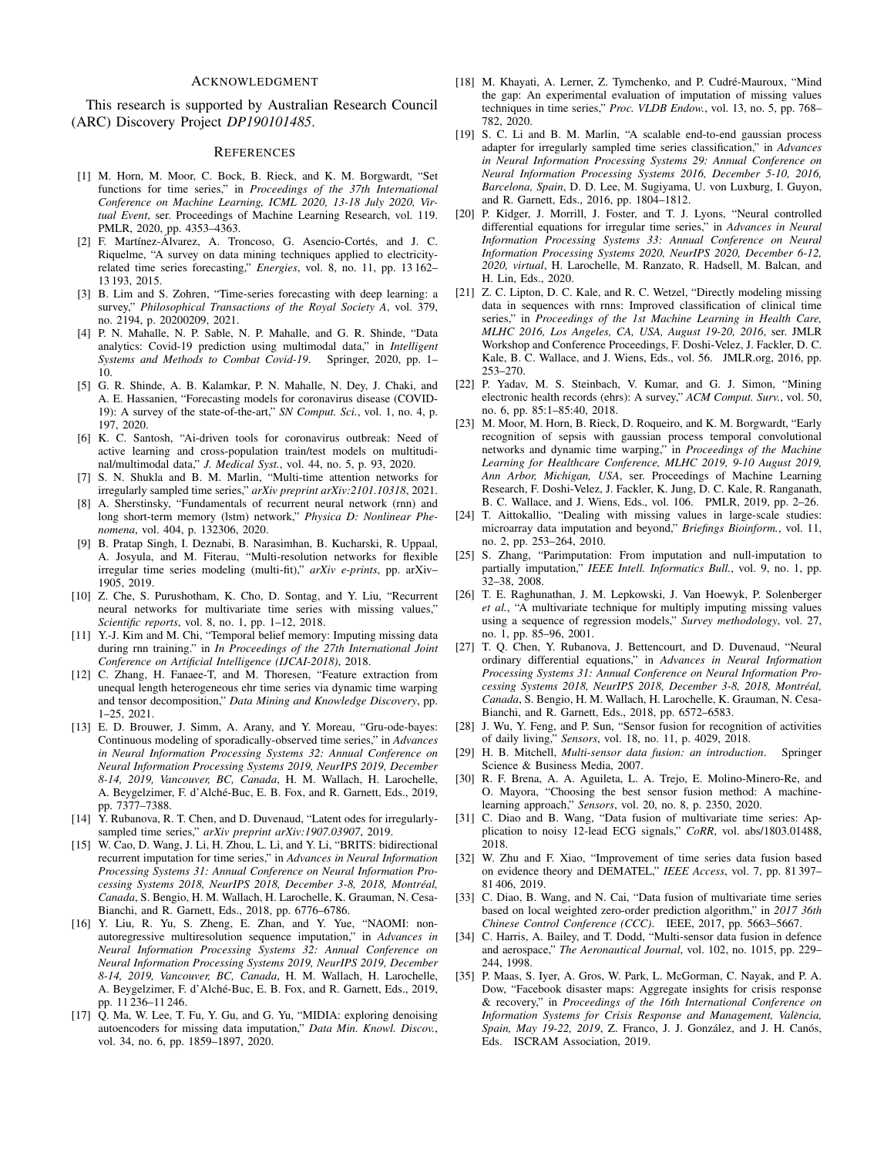### ACKNOWLEDGMENT

This research is supported by Australian Research Council (ARC) Discovery Project *DP190101485*.

### **REFERENCES**

- <span id="page-9-0"></span>[1] M. Horn, M. Moor, C. Bock, B. Rieck, and K. M. Borgwardt, "Set functions for time series," in *Proceedings of the 37th International Conference on Machine Learning, ICML 2020, 13-18 July 2020, Virtual Event*, ser. Proceedings of Machine Learning Research, vol. 119. PMLR, 2020, pp. 4353–4363.
- [2] F. Martínez-Álvarez, A. Troncoso, G. Asencio-Cortés, and J. C. Riquelme, "A survey on data mining techniques applied to electricityrelated time series forecasting," *Energies*, vol. 8, no. 11, pp. 13 162– 13 193, 2015.
- <span id="page-9-1"></span>[3] B. Lim and S. Zohren, "Time-series forecasting with deep learning: a survey," *Philosophical Transactions of the Royal Society A*, vol. 379, no. 2194, p. 20200209, 2021.
- <span id="page-9-2"></span>[4] P. N. Mahalle, N. P. Sable, N. P. Mahalle, and G. R. Shinde, "Data analytics: Covid-19 prediction using multimodal data," in *Intelligent Systems and Methods to Combat Covid-19*. Springer, 2020, pp. 1– 10.
- [5] G. R. Shinde, A. B. Kalamkar, P. N. Mahalle, N. Dey, J. Chaki, and A. E. Hassanien, "Forecasting models for coronavirus disease (COVID-19): A survey of the state-of-the-art," *SN Comput. Sci.*, vol. 1, no. 4, p. 197, 2020.
- <span id="page-9-3"></span>[6] K. C. Santosh, "Ai-driven tools for coronavirus outbreak: Need of active learning and cross-population train/test models on multitudinal/multimodal data," *J. Medical Syst.*, vol. 44, no. 5, p. 93, 2020.
- <span id="page-9-4"></span>[7] S. N. Shukla and B. M. Marlin, "Multi-time attention networks for irregularly sampled time series," *arXiv preprint arXiv:2101.10318*, 2021.
- <span id="page-9-5"></span>[8] A. Sherstinsky, "Fundamentals of recurrent neural network (rnn) and long short-term memory (lstm) network," *Physica D: Nonlinear Phenomena*, vol. 404, p. 132306, 2020.
- <span id="page-9-6"></span>[9] B. Pratap Singh, I. Deznabi, B. Narasimhan, B. Kucharski, R. Uppaal, A. Josyula, and M. Fiterau, "Multi-resolution networks for flexible irregular time series modeling (multi-fit)," *arXiv e-prints*, pp. arXiv– 1905, 2019.
- <span id="page-9-16"></span>[10] Z. Che, S. Purushotham, K. Cho, D. Sontag, and Y. Liu, "Recurrent neural networks for multivariate time series with missing values," *Scientific reports*, vol. 8, no. 1, pp. 1–12, 2018.
- [11] Y.-J. Kim and M. Chi, "Temporal belief memory: Imputing missing data during rnn training." in *In Proceedings of the 27th International Joint Conference on Artificial Intelligence (IJCAI-2018)*, 2018.
- <span id="page-9-7"></span>[12] C. Zhang, H. Fanaee-T, and M. Thoresen, "Feature extraction from unequal length heterogeneous ehr time series via dynamic time warping and tensor decomposition," *Data Mining and Knowledge Discovery*, pp. 1–25, 2021.
- <span id="page-9-8"></span>[13] E. D. Brouwer, J. Simm, A. Arany, and Y. Moreau, "Gru-ode-bayes: Continuous modeling of sporadically-observed time series," in *Advances in Neural Information Processing Systems 32: Annual Conference on Neural Information Processing Systems 2019, NeurIPS 2019, December 8-14, 2019, Vancouver, BC, Canada*, H. M. Wallach, H. Larochelle, A. Beygelzimer, F. d'Alché-Buc, E. B. Fox, and R. Garnett, Eds., 2019, pp. 7377–7388.
- <span id="page-9-9"></span>[14] Y. Rubanova, R. T. Chen, and D. Duvenaud, "Latent odes for irregularlysampled time series," *arXiv preprint arXiv:1907.03907*, 2019.
- <span id="page-9-10"></span>[15] W. Cao, D. Wang, J. Li, H. Zhou, L. Li, and Y. Li, "BRITS: bidirectional recurrent imputation for time series," in *Advances in Neural Information Processing Systems 31: Annual Conference on Neural Information Processing Systems 2018, NeurIPS 2018, December 3-8, 2018, Montreal, ´ Canada*, S. Bengio, H. M. Wallach, H. Larochelle, K. Grauman, N. Cesa-Bianchi, and R. Garnett, Eds., 2018, pp. 6776–6786.
- [16] Y. Liu, R. Yu, S. Zheng, E. Zhan, and Y. Yue, "NAOMI: nonautoregressive multiresolution sequence imputation," in *Advances in Neural Information Processing Systems 32: Annual Conference on Neural Information Processing Systems 2019, NeurIPS 2019, December 8-14, 2019, Vancouver, BC, Canada*, H. M. Wallach, H. Larochelle, A. Beygelzimer, F. d'Alché-Buc, E. B. Fox, and R. Garnett, Eds., 2019, pp. 11 236–11 246.
- <span id="page-9-19"></span>[17] Q. Ma, W. Lee, T. Fu, Y. Gu, and G. Yu, "MIDIA: exploring denoising autoencoders for missing data imputation," *Data Min. Knowl. Discov.*, vol. 34, no. 6, pp. 1859–1897, 2020.
- <span id="page-9-11"></span>[18] M. Khayati, A. Lerner, Z. Tymchenko, and P. Cudré-Mauroux, "Mind the gap: An experimental evaluation of imputation of missing values techniques in time series," *Proc. VLDB Endow.*, vol. 13, no. 5, pp. 768– 782, 2020.
- <span id="page-9-12"></span>[19] S. C. Li and B. M. Marlin, "A scalable end-to-end gaussian process adapter for irregularly sampled time series classification," in *Advances in Neural Information Processing Systems 29: Annual Conference on Neural Information Processing Systems 2016, December 5-10, 2016, Barcelona, Spain*, D. D. Lee, M. Sugiyama, U. von Luxburg, I. Guyon, and R. Garnett, Eds., 2016, pp. 1804–1812.
- <span id="page-9-13"></span>[20] P. Kidger, J. Morrill, J. Foster, and T. J. Lyons, "Neural controlled differential equations for irregular time series," in *Advances in Neural Information Processing Systems 33: Annual Conference on Neural Information Processing Systems 2020, NeurIPS 2020, December 6-12, 2020, virtual*, H. Larochelle, M. Ranzato, R. Hadsell, M. Balcan, and H. Lin, Eds., 2020.
- <span id="page-9-14"></span>[21] Z. C. Lipton, D. C. Kale, and R. C. Wetzel, "Directly modeling missing data in sequences with rnns: Improved classification of clinical time series," in *Proceedings of the 1st Machine Learning in Health Care, MLHC 2016, Los Angeles, CA, USA, August 19-20, 2016*, ser. JMLR Workshop and Conference Proceedings, F. Doshi-Velez, J. Fackler, D. C. Kale, B. C. Wallace, and J. Wiens, Eds., vol. 56. JMLR.org, 2016, pp. 253–270.
- <span id="page-9-15"></span>[22] P. Yadav, M. S. Steinbach, V. Kumar, and G. J. Simon, "Mining electronic health records (ehrs): A survey," *ACM Comput. Surv.*, vol. 50, no. 6, pp. 85:1–85:40, 2018.
- <span id="page-9-17"></span>[23] M. Moor, M. Horn, B. Rieck, D. Roqueiro, and K. M. Borgwardt, "Early recognition of sepsis with gaussian process temporal convolutional networks and dynamic time warping," in *Proceedings of the Machine Learning for Healthcare Conference, MLHC 2019, 9-10 August 2019, Ann Arbor, Michigan, USA*, ser. Proceedings of Machine Learning Research, F. Doshi-Velez, J. Fackler, K. Jung, D. C. Kale, R. Ranganath, B. C. Wallace, and J. Wiens, Eds., vol. 106. PMLR, 2019, pp. 2–26.
- [24] T. Aittokallio, "Dealing with missing values in large-scale studies: microarray data imputation and beyond," *Briefings Bioinform.*, vol. 11, no. 2, pp. 253–264, 2010.
- [25] S. Zhang, "Parimputation: From imputation and null-imputation to partially imputation," IEEE Intell. Informatics Bull., vol. 9, no. 1, pp. 32–38, 2008.
- <span id="page-9-18"></span>[26] T. E. Raghunathan, J. M. Lepkowski, J. Van Hoewyk, P. Solenberger *et al.*, "A multivariate technique for multiply imputing missing values using a sequence of regression models," *Survey methodology*, vol. 27, no. 1, pp. 85–96, 2001.
- <span id="page-9-20"></span>[27] T. Q. Chen, Y. Rubanova, J. Bettencourt, and D. Duvenaud, "Neural ordinary differential equations," in *Advances in Neural Information Processing Systems 31: Annual Conference on Neural Information Processing Systems 2018, NeurIPS 2018, December 3-8, 2018, Montreal, ´ Canada*, S. Bengio, H. M. Wallach, H. Larochelle, K. Grauman, N. Cesa-Bianchi, and R. Garnett, Eds., 2018, pp. 6572–6583.
- <span id="page-9-21"></span>[28] J. Wu, Y. Feng, and P. Sun, "Sensor fusion for recognition of activities of daily living," *Sensors*, vol. 18, no. 11, p. 4029, 2018.
- <span id="page-9-22"></span>[29] H. B. Mitchell, *Multi-sensor data fusion: an introduction*. Springer Science & Business Media, 2007.
- <span id="page-9-23"></span>[30] R. F. Brena, A. A. Aguileta, L. A. Trejo, E. Molino-Minero-Re, and O. Mayora, "Choosing the best sensor fusion method: A machinelearning approach," *Sensors*, vol. 20, no. 8, p. 2350, 2020.
- <span id="page-9-24"></span>[31] C. Diao and B. Wang, "Data fusion of multivariate time series: Application to noisy 12-lead ECG signals," *CoRR*, vol. abs/1803.01488, 2018.
- [32] W. Zhu and F. Xiao, "Improvement of time series data fusion based on evidence theory and DEMATEL," *IEEE Access*, vol. 7, pp. 81 397– 81 406, 2019.
- <span id="page-9-25"></span>[33] C. Diao, B. Wang, and N. Cai, "Data fusion of multivariate time series based on local weighted zero-order prediction algorithm," in *2017 36th Chinese Control Conference (CCC)*. IEEE, 2017, pp. 5663–5667.
- <span id="page-9-26"></span>[34] C. Harris, A. Bailey, and T. Dodd, "Multi-sensor data fusion in defence and aerospace," *The Aeronautical Journal*, vol. 102, no. 1015, pp. 229– 244, 1998.
- <span id="page-9-27"></span>[35] P. Maas, S. Iyer, A. Gros, W. Park, L. McGorman, C. Nayak, and P. A. Dow, "Facebook disaster maps: Aggregate insights for crisis response & recovery," in *Proceedings of the 16th International Conference on Information Systems for Crisis Response and Management, Valencia, ` Spain, May 19-22, 2019, Z. Franco, J. J. González, and J. H. Canós,* Eds. ISCRAM Association, 2019.